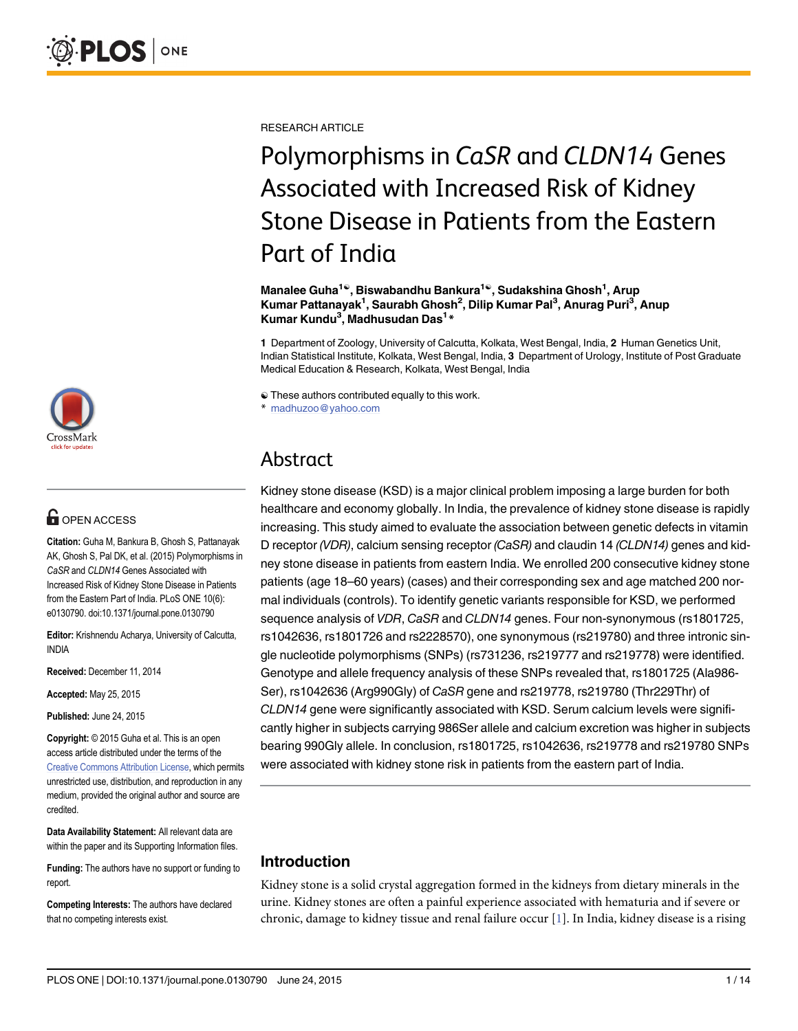

## **G** OPEN ACCESS

Citation: Guha M, Bankura B, Ghosh S, Pattanayak AK, Ghosh S, Pal DK, et al. (2015) Polymorphisms in CaSR and CLDN14 Genes Associated with Increased Risk of Kidney Stone Disease in Patients from the Eastern Part of India. PLoS ONE 10(6): e0130790. doi:10.1371/journal.pone.0130790

Editor: Krishnendu Acharya, University of Calcutta, INDIA

Received: December 11, 2014

Accepted: May 25, 2015

Published: June 24, 2015

Copyright: © 2015 Guha et al. This is an open access article distributed under the terms of the [Creative Commons Attribution License,](http://creativecommons.org/licenses/by/4.0/) which permits unrestricted use, distribution, and reproduction in any medium, provided the original author and source are credited.

Data Availability Statement: All relevant data are within the paper and its Supporting Information files.

Funding: The authors have no support or funding to report.

Competing Interests: The authors have declared that no competing interests exist.

<span id="page-0-0"></span>RESEARCH ARTICLE

# Polymorphisms in CaSR and CLDN14 Genes Associated with Increased Risk of Kidney Stone Disease in Patients from the Eastern Part of India

Manalee Guha<sup>1©</sup>, Biswabandhu Bankura<sup>1©</sup>, Sudakshina Ghosh<sup>1</sup>, Arup Kumar Pattanayak<sup>1</sup>, Saurabh Ghosh<sup>2</sup>, Dilip Kumar Pal<sup>3</sup>, Anurag Puri<sup>3</sup>, Anup Kumar Kundu<sup>3</sup>, Madhusudan Das<sup>1\*</sup>

1 Department of Zoology, University of Calcutta, Kolkata, West Bengal, India, 2 Human Genetics Unit, Indian Statistical Institute, Kolkata, West Bengal, India, 3 Department of Urology, Institute of Post Graduate Medical Education & Research, Kolkata, West Bengal, India

☯ These authors contributed equally to this work.

\* madhuzoo@yahoo.com

# Abstract

Kidney stone disease (KSD) is a major clinical problem imposing a large burden for both healthcare and economy globally. In India, the prevalence of kidney stone disease is rapidly increasing. This study aimed to evaluate the association between genetic defects in vitamin D receptor (VDR), calcium sensing receptor (CaSR) and claudin 14 (CLDN14) genes and kidney stone disease in patients from eastern India. We enrolled 200 consecutive kidney stone patients (age 18–60 years) (cases) and their corresponding sex and age matched 200 normal individuals (controls). To identify genetic variants responsible for KSD, we performed sequence analysis of *VDR*, CaSR and CLDN14 genes. Four non-synonymous (rs1801725, rs1042636, rs1801726 and rs2228570), one synonymous (rs219780) and three intronic single nucleotide polymorphisms (SNPs) (rs731236, rs219777 and rs219778) were identified. Genotype and allele frequency analysis of these SNPs revealed that, rs1801725 (Ala986- Ser), rs1042636 (Arg990Gly) of CaSR gene and rs219778, rs219780 (Thr229Thr) of CLDN14 gene were significantly associated with KSD. Serum calcium levels were significantly higher in subjects carrying 986Ser allele and calcium excretion was higher in subjects bearing 990Gly allele. In conclusion, rs1801725, rs1042636, rs219778 and rs219780 SNPs were associated with kidney stone risk in patients from the eastern part of India.

## Introduction

Kidney stone is a solid crystal aggregation formed in the kidneys from dietary minerals in the urine. Kidney stones are often a painful experience associated with hematuria and if severe or chronic, damage to kidney tissue and renal failure occur  $[1]$  $[1]$  $[1]$ . In India, kidney disease is a rising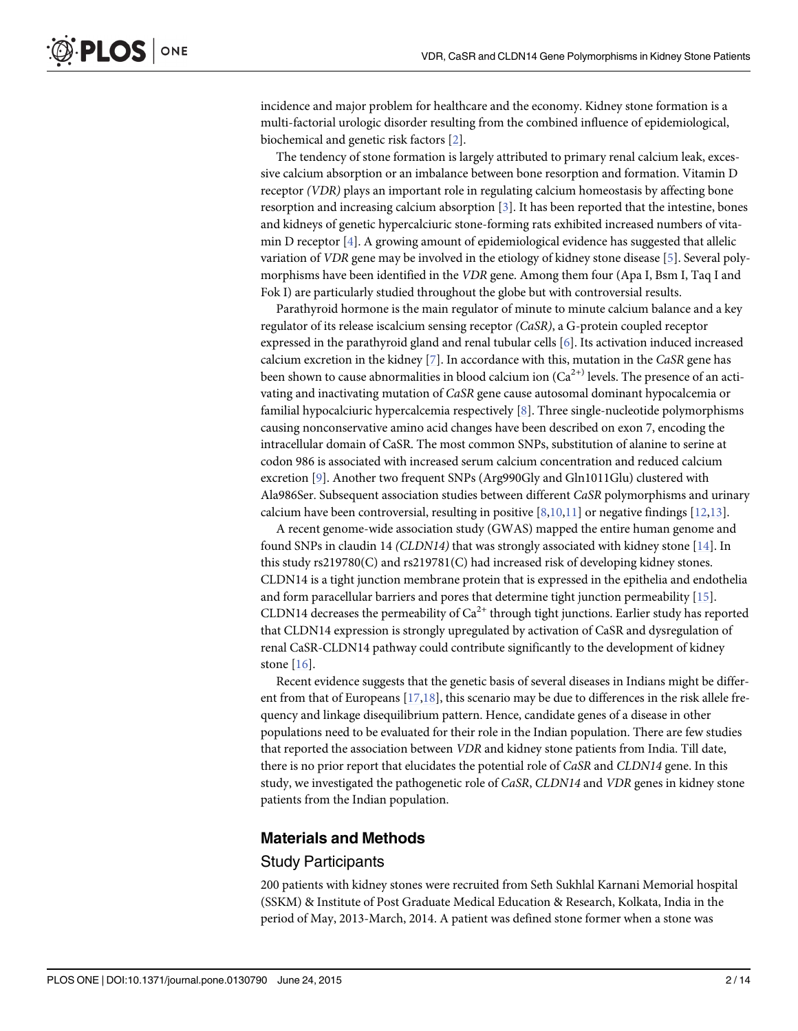<span id="page-1-0"></span>incidence and major problem for healthcare and the economy. Kidney stone formation is a multi-factorial urologic disorder resulting from the combined influence of epidemiological, biochemical and genetic risk factors [\[2](#page-12-0)].

The tendency of stone formation is largely attributed to primary renal calcium leak, excessive calcium absorption or an imbalance between bone resorption and formation. Vitamin D receptor (VDR) plays an important role in regulating calcium homeostasis by affecting bone resorption and increasing calcium absorption [[3](#page-12-0)]. It has been reported that the intestine, bones and kidneys of genetic hypercalciuric stone-forming rats exhibited increased numbers of vitamin D receptor  $[4]$  $[4]$  $[4]$ . A growing amount of epidemiological evidence has suggested that allelic variation of VDR gene may be involved in the etiology of kidney stone disease [\[5\]](#page-12-0). Several polymorphisms have been identified in the VDR gene. Among them four (Apa I, Bsm I, Taq I and Fok I) are particularly studied throughout the globe but with controversial results.

Parathyroid hormone is the main regulator of minute to minute calcium balance and a key regulator of its release iscalcium sensing receptor (CaSR), a G-protein coupled receptor expressed in the parathyroid gland and renal tubular cells [[6](#page-12-0)]. Its activation induced increased calcium excretion in the kidney  $[7]$  $[7]$ . In accordance with this, mutation in the CaSR gene has been shown to cause abnormalities in blood calcium ion  $(Ca^{2+})$  levels. The presence of an activating and inactivating mutation of CaSR gene cause autosomal dominant hypocalcemia or familial hypocalciuric hypercalcemia respectively [[8\]](#page-12-0). Three single-nucleotide polymorphisms causing nonconservative amino acid changes have been described on exon 7, encoding the intracellular domain of CaSR. The most common SNPs, substitution of alanine to serine at codon 986 is associated with increased serum calcium concentration and reduced calcium excretion [[9](#page-12-0)]. Another two frequent SNPs (Arg990Gly and Gln1011Glu) clustered with Ala986Ser. Subsequent association studies between different CaSR polymorphisms and urinary calcium have been controversial, resulting in positive  $[8,10,11]$  $[8,10,11]$  $[8,10,11]$  or negative findings  $[12,13]$  $[12,13]$ .

A recent genome-wide association study (GWAS) mapped the entire human genome and found SNPs in claudin 14 (CLDN14) that was strongly associated with kidney stone [[14\]](#page-12-0). In this study rs219780(C) and rs219781(C) had increased risk of developing kidney stones. CLDN14 is a tight junction membrane protein that is expressed in the epithelia and endothelia and form paracellular barriers and pores that determine tight junction permeability [[15](#page-12-0)]. CLDN14 decreases the permeability of  $Ca^{2+}$  through tight junctions. Earlier study has reported that CLDN14 expression is strongly upregulated by activation of CaSR and dysregulation of renal CaSR-CLDN14 pathway could contribute significantly to the development of kidney stone [[16\]](#page-12-0).

Recent evidence suggests that the genetic basis of several diseases in Indians might be different from that of Europeans  $[17,18]$  $[17,18]$  $[17,18]$  $[17,18]$  $[17,18]$ , this scenario may be due to differences in the risk allele frequency and linkage disequilibrium pattern. Hence, candidate genes of a disease in other populations need to be evaluated for their role in the Indian population. There are few studies that reported the association between VDR and kidney stone patients from India. Till date, there is no prior report that elucidates the potential role of CaSR and CLDN14 gene. In this study, we investigated the pathogenetic role of CaSR, CLDN14 and VDR genes in kidney stone patients from the Indian population.

#### Materials and Methods

#### Study Participants

200 patients with kidney stones were recruited from Seth Sukhlal Karnani Memorial hospital (SSKM) & Institute of Post Graduate Medical Education & Research, Kolkata, India in the period of May, 2013-March, 2014. A patient was defined stone former when a stone was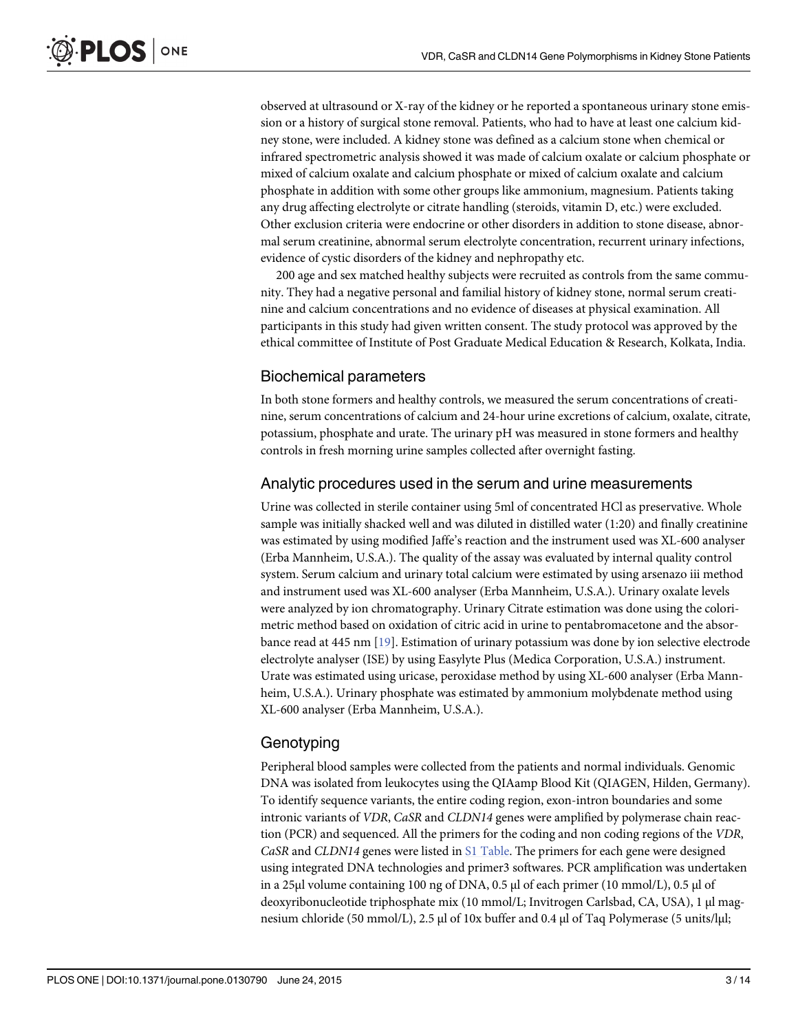<span id="page-2-0"></span>observed at ultrasound or X-ray of the kidney or he reported a spontaneous urinary stone emission or a history of surgical stone removal. Patients, who had to have at least one calcium kidney stone, were included. A kidney stone was defined as a calcium stone when chemical or infrared spectrometric analysis showed it was made of calcium oxalate or calcium phosphate or mixed of calcium oxalate and calcium phosphate or mixed of calcium oxalate and calcium phosphate in addition with some other groups like ammonium, magnesium. Patients taking any drug affecting electrolyte or citrate handling (steroids, vitamin D, etc.) were excluded. Other exclusion criteria were endocrine or other disorders in addition to stone disease, abnormal serum creatinine, abnormal serum electrolyte concentration, recurrent urinary infections, evidence of cystic disorders of the kidney and nephropathy etc.

200 age and sex matched healthy subjects were recruited as controls from the same community. They had a negative personal and familial history of kidney stone, normal serum creatinine and calcium concentrations and no evidence of diseases at physical examination. All participants in this study had given written consent. The study protocol was approved by the ethical committee of Institute of Post Graduate Medical Education & Research, Kolkata, India.

## Biochemical parameters

In both stone formers and healthy controls, we measured the serum concentrations of creatinine, serum concentrations of calcium and 24-hour urine excretions of calcium, oxalate, citrate, potassium, phosphate and urate. The urinary pH was measured in stone formers and healthy controls in fresh morning urine samples collected after overnight fasting.

## Analytic procedures used in the serum and urine measurements

Urine was collected in sterile container using 5ml of concentrated HCl as preservative. Whole sample was initially shacked well and was diluted in distilled water (1:20) and finally creatinine was estimated by using modified Jaffe's reaction and the instrument used was XL-600 analyser (Erba Mannheim, U.S.A.). The quality of the assay was evaluated by internal quality control system. Serum calcium and urinary total calcium were estimated by using arsenazo iii method and instrument used was XL-600 analyser (Erba Mannheim, U.S.A.). Urinary oxalate levels were analyzed by ion chromatography. Urinary Citrate estimation was done using the colorimetric method based on oxidation of citric acid in urine to pentabromacetone and the absorbance read at 445 nm [\[19\]](#page-12-0). Estimation of urinary potassium was done by ion selective electrode electrolyte analyser (ISE) by using Easylyte Plus (Medica Corporation, U.S.A.) instrument. Urate was estimated using uricase, peroxidase method by using XL-600 analyser (Erba Mannheim, U.S.A.). Urinary phosphate was estimated by ammonium molybdenate method using XL-600 analyser (Erba Mannheim, U.S.A.).

## Genotyping

Peripheral blood samples were collected from the patients and normal individuals. Genomic DNA was isolated from leukocytes using the QIAamp Blood Kit (QIAGEN, Hilden, Germany). To identify sequence variants, the entire coding region, exon-intron boundaries and some intronic variants of VDR, CaSR and CLDN14 genes were amplified by polymerase chain reaction (PCR) and sequenced. All the primers for the coding and non coding regions of the VDR, CaSR and CLDN14 genes were listed in  $S1$  Table. The primers for each gene were designed using integrated DNA technologies and primer3 softwares. PCR amplification was undertaken in a 25μl volume containing 100 ng of DNA, 0.5 μl of each primer (10 mmol/L), 0.5 μl of deoxyribonucleotide triphosphate mix (10 mmol/L; Invitrogen Carlsbad, CA, USA), 1 μl magnesium chloride (50 mmol/L), 2.5 μl of 10x buffer and 0.4 μl of Taq Polymerase (5 units/lμl;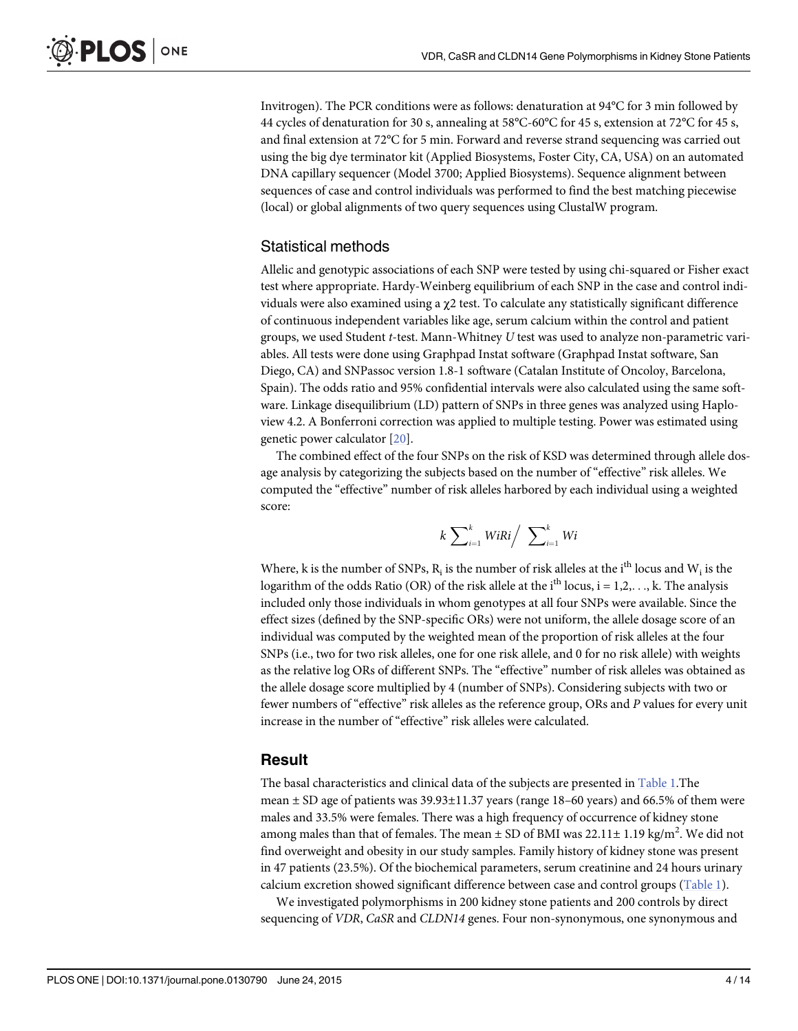<span id="page-3-0"></span>Invitrogen). The PCR conditions were as follows: denaturation at 94°C for 3 min followed by 44 cycles of denaturation for 30 s, annealing at 58°C-60°C for 45 s, extension at 72°C for 45 s, and final extension at 72°C for 5 min. Forward and reverse strand sequencing was carried out using the big dye terminator kit (Applied Biosystems, Foster City, CA, USA) on an automated DNA capillary sequencer (Model 3700; Applied Biosystems). Sequence alignment between sequences of case and control individuals was performed to find the best matching piecewise (local) or global alignments of two query sequences using ClustalW program.

#### Statistical methods

Allelic and genotypic associations of each SNP were tested by using chi-squared or Fisher exact test where appropriate. Hardy-Weinberg equilibrium of each SNP in the case and control individuals were also examined using a χ2 test. To calculate any statistically significant difference of continuous independent variables like age, serum calcium within the control and patient groups, we used Student t-test. Mann-Whitney U test was used to analyze non-parametric variables. All tests were done using Graphpad Instat software (Graphpad Instat software, San Diego, CA) and SNPassoc version 1.8‐1 software (Catalan Institute of Oncoloy, Barcelona, Spain). The odds ratio and 95% confidential intervals were also calculated using the same software. Linkage disequilibrium (LD) pattern of SNPs in three genes was analyzed using Haploview 4.2. A Bonferroni correction was applied to multiple testing. Power was estimated using genetic power calculator [[20\]](#page-12-0).

The combined effect of the four SNPs on the risk of KSD was determined through allele dosage analysis by categorizing the subjects based on the number of "effective" risk alleles. We computed the "effective" number of risk alleles harbored by each individual using a weighted score:

$$
k\sum\nolimits_{i=1}^k WiRi / \sum\nolimits_{i=1}^k Wi
$$

Where, k is the number of SNPs,  $R_i$  is the number of risk alleles at the i<sup>th</sup> locus and W<sub>i</sub> is the logarithm of the odds Ratio (OR) of the risk allele at the i<sup>th</sup> locus,  $i = 1, 2, \ldots$ , k. The analysis included only those individuals in whom genotypes at all four SNPs were available. Since the effect sizes (defined by the SNP-specific ORs) were not uniform, the allele dosage score of an individual was computed by the weighted mean of the proportion of risk alleles at the four SNPs (i.e., two for two risk alleles, one for one risk allele, and 0 for no risk allele) with weights as the relative log ORs of different SNPs. The "effective" number of risk alleles was obtained as the allele dosage score multiplied by 4 (number of SNPs). Considering subjects with two or fewer numbers of "effective" risk alleles as the reference group, ORs and P values for every unit increase in the number of "effective" risk alleles were calculated.

#### Result

The basal characteristics and clinical data of the subjects are presented in [Table 1.](#page-4-0)The mean ± SD age of patients was 39.93±11.37 years (range 18–60 years) and 66.5% of them were males and 33.5% were females. There was a high frequency of occurrence of kidney stone among males than that of females. The mean  $\pm$  SD of BMI was 22.11 $\pm$  1.19 kg/m<sup>2</sup>. We did not find overweight and obesity in our study samples. Family history of kidney stone was present in 47 patients (23.5%). Of the biochemical parameters, serum creatinine and 24 hours urinary calcium excretion showed significant difference between case and control groups ([Table 1\)](#page-4-0).

We investigated polymorphisms in 200 kidney stone patients and 200 controls by direct sequencing of VDR, CaSR and CLDN14 genes. Four non-synonymous, one synonymous and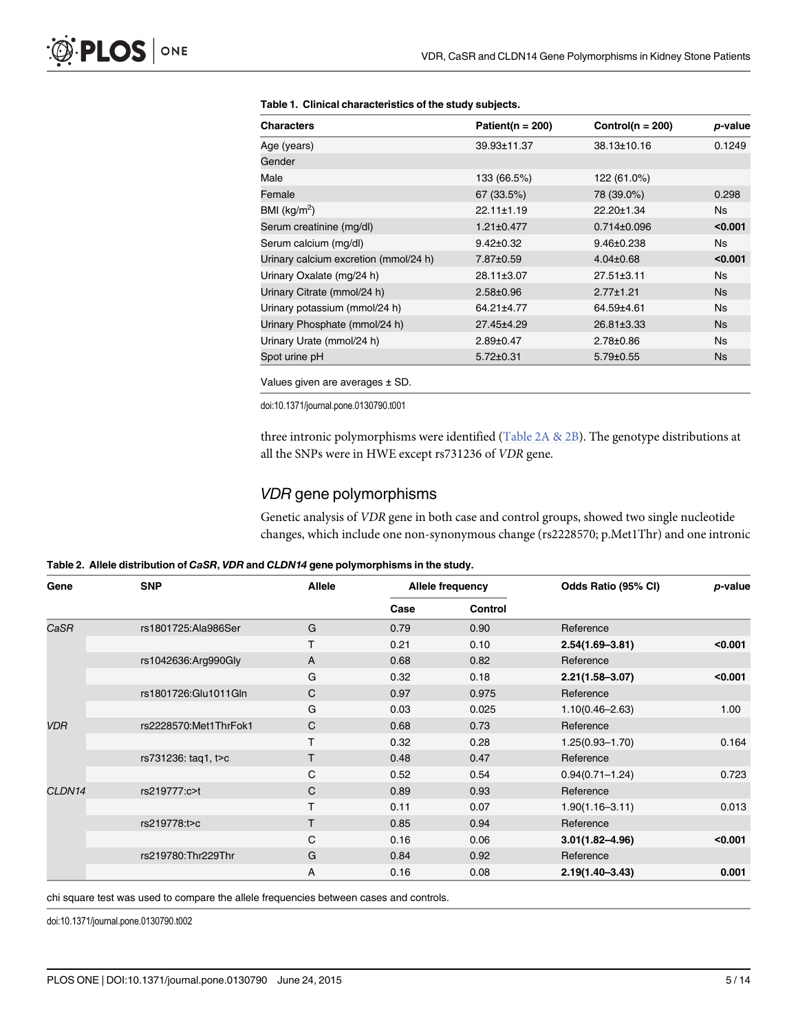| <b>Characters</b>                     | Patient( $n = 200$ ) | Control( $n = 200$ ) | p-value   |
|---------------------------------------|----------------------|----------------------|-----------|
| Age (years)                           | 39.93±11.37          | 38.13±10.16          | 0.1249    |
| Gender                                |                      |                      |           |
| Male                                  | 133 (66.5%)          | 122 (61.0%)          |           |
| Female                                | 67 (33.5%)           | 78 (39.0%)           | 0.298     |
| BMI ( $kg/m2$ )                       | $22.11 \pm 1.19$     | 22.20±1.34           | <b>Ns</b> |
| Serum creatinine (mg/dl)              | $1.21 \pm 0.477$     | $0.714 \pm 0.096$    | < 0.001   |
| Serum calcium (mg/dl)                 | $9.42 \pm 0.32$      | $9.46 \pm 0.238$     | <b>Ns</b> |
| Urinary calcium excretion (mmol/24 h) | 7.87±0.59            | $4.04 \pm 0.68$      | < 0.001   |
| Urinary Oxalate (mg/24 h)             | 28.11±3.07           | $27.51 \pm 3.11$     | <b>Ns</b> |
| Urinary Citrate (mmol/24 h)           | $2.58 \pm 0.96$      | $2.77 \pm 1.21$      | <b>Ns</b> |
| Urinary potassium (mmol/24 h)         | 64.21±4.77           | 64.59±4.61           | <b>Ns</b> |
| Urinary Phosphate (mmol/24 h)         | 27.45±4.29           | 26.81±3.33           | <b>Ns</b> |
| Urinary Urate (mmol/24 h)             | $2.89 \pm 0.47$      | $2.78 \pm 0.86$      | <b>Ns</b> |
| Spot urine pH                         | $5.72 \pm 0.31$      | $5.79 \pm 0.55$      | Ns.       |

#### <span id="page-4-0"></span>[Table 1.](#page-3-0) Clinical characteristics of the study subjects.

Values given are averages ± SD.

doi:10.1371/journal.pone.0130790.t001

three intronic polymorphisms were identified (Table 2A & 2B). The genotype distributions at all the SNPs were in HWE except rs731236 of VDR gene.

#### VDR gene polymorphisms

Genetic analysis of VDR gene in both case and control groups, showed two single nucleotide changes, which include one non-synonymous change (rs2228570; p.Met1Thr) and one intronic

|  |  | Table 2. Allele distribution of CaSR, VDR and CLDN14 gene polymorphisms in the study. |  |
|--|--|---------------------------------------------------------------------------------------|--|
|--|--|---------------------------------------------------------------------------------------|--|

| Gene       | <b>SNP</b>             | <b>Allele</b> |      | Allele frequency | Odds Ratio (95% CI) | p-value |
|------------|------------------------|---------------|------|------------------|---------------------|---------|
|            |                        |               | Case | Control          |                     |         |
| CaSR       | rs1801725:Ala986Ser    | G             | 0.79 | 0.90             | Reference           |         |
|            |                        | T.            | 0.21 | 0.10             | $2.54(1.69 - 3.81)$ | < 0.001 |
|            | rs1042636:Arg990Gly    | A             | 0.68 | 0.82             | Reference           |         |
|            |                        | G             | 0.32 | 0.18             | $2.21(1.58 - 3.07)$ | < 0.001 |
|            | rs1801726: Glu1011 Gln | $\mathsf{C}$  | 0.97 | 0.975            | Reference           |         |
|            |                        | G             | 0.03 | 0.025            | $1.10(0.46 - 2.63)$ | 1.00    |
| <b>VDR</b> | rs2228570:Met1ThrFok1  | $\mathsf{C}$  | 0.68 | 0.73             | Reference           |         |
|            |                        | T             | 0.32 | 0.28             | $1.25(0.93 - 1.70)$ | 0.164   |
|            | rs731236: tag1, t>c    | T.            | 0.48 | 0.47             | Reference           |         |
|            |                        | C             | 0.52 | 0.54             | $0.94(0.71 - 1.24)$ | 0.723   |
| CLDN14     | rs219777:c>t           | $\mathsf{C}$  | 0.89 | 0.93             | Reference           |         |
|            |                        | T             | 0.11 | 0.07             | $1.90(1.16 - 3.11)$ | 0.013   |
|            | rs219778:t>c           | T.            | 0.85 | 0.94             | Reference           |         |
|            |                        | C             | 0.16 | 0.06             | $3.01(1.82 - 4.96)$ | < 0.001 |
|            | rs219780:Thr229Thr     | G             | 0.84 | 0.92             | Reference           |         |
|            |                        | Α             | 0.16 | 0.08             | $2.19(1.40 - 3.43)$ | 0.001   |

chi square test was used to compare the allele frequencies between cases and controls.

doi:10.1371/journal.pone.0130790.t002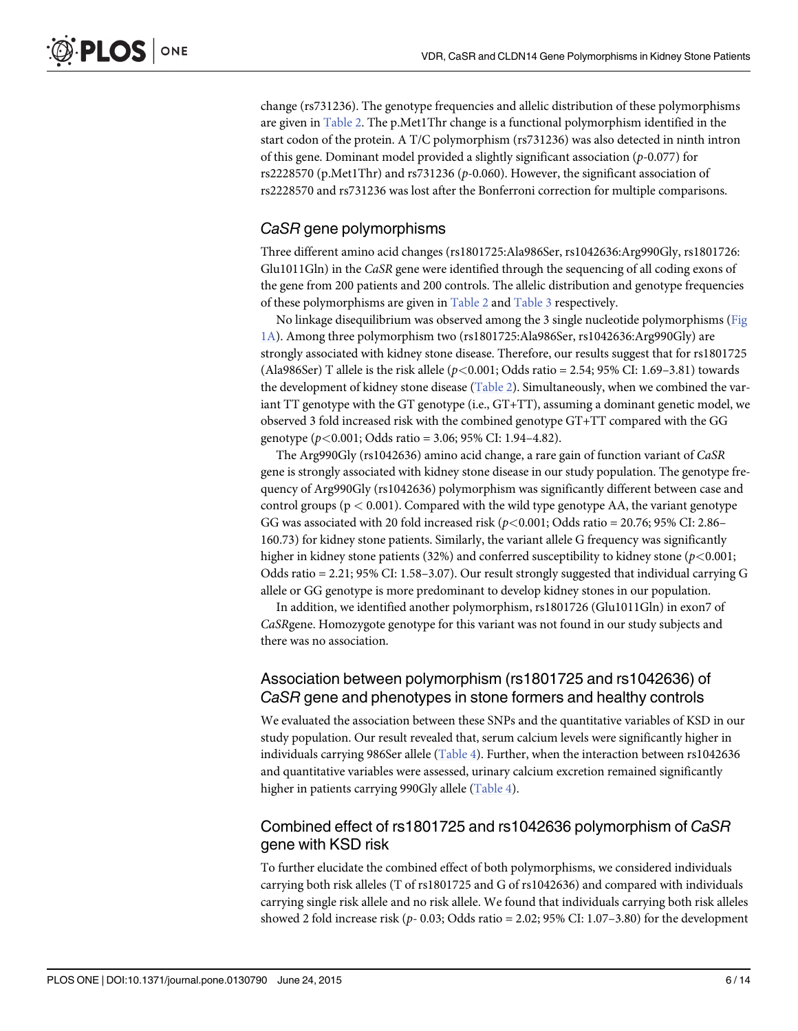<span id="page-5-0"></span>change (rs731236). The genotype frequencies and allelic distribution of these polymorphisms are given in [Table 2](#page-4-0). The p.Met1Thr change is a functional polymorphism identified in the start codon of the protein. A T/C polymorphism (rs731236) was also detected in ninth intron of this gene. Dominant model provided a slightly significant association (p-0.077) for rs2228570 (p.Met1Thr) and rs731236 (p-0.060). However, the significant association of rs2228570 and rs731236 was lost after the Bonferroni correction for multiple comparisons.

## CaSR gene polymorphisms

Three different amino acid changes (rs1801725:Ala986Ser, rs1042636:Arg990Gly, rs1801726: Glu1011Gln) in the CaSR gene were identified through the sequencing of all coding exons of the gene from 200 patients and 200 controls. The allelic distribution and genotype frequencies of these polymorphisms are given in [Table 2](#page-4-0) and [Table 3](#page-6-0) respectively.

No linkage disequilibrium was observed among the 3 single nucleotide polymorphisms [\(Fig](#page-7-0) [1A\)](#page-7-0). Among three polymorphism two (rs1801725:Ala986Ser, rs1042636:Arg990Gly) are strongly associated with kidney stone disease. Therefore, our results suggest that for rs1801725 (Ala986Ser) T allele is the risk allele ( $p<0.001$ ; Odds ratio = 2.54; 95% CI: 1.69–3.81) towards the development of kidney stone disease [\(Table 2](#page-4-0)). Simultaneously, when we combined the variant TT genotype with the GT genotype (i.e., GT+TT), assuming a dominant genetic model, we observed 3 fold increased risk with the combined genotype GT+TT compared with the GG genotype ( $p < 0.001$ ; Odds ratio = 3.06; 95% CI: 1.94–4.82).

The Arg990Gly (rs1042636) amino acid change, a rare gain of function variant of CaSR gene is strongly associated with kidney stone disease in our study population. The genotype frequency of Arg990Gly (rs1042636) polymorphism was significantly different between case and control groups ( $p < 0.001$ ). Compared with the wild type genotype AA, the variant genotype GG was associated with 20 fold increased risk ( $p$ <0.001; Odds ratio = 20.76; 95% CI: 2.86– 160.73) for kidney stone patients. Similarly, the variant allele G frequency was significantly higher in kidney stone patients (32%) and conferred susceptibility to kidney stone ( $p$ <0.001; Odds ratio = 2.21; 95% CI: 1.58–3.07). Our result strongly suggested that individual carrying G allele or GG genotype is more predominant to develop kidney stones in our population.

In addition, we identified another polymorphism, rs1801726 (Glu1011Gln) in exon7 of CaSRgene. Homozygote genotype for this variant was not found in our study subjects and there was no association.

## Association between polymorphism (rs1801725 and rs1042636) of CaSR gene and phenotypes in stone formers and healthy controls

We evaluated the association between these SNPs and the quantitative variables of KSD in our study population. Our result revealed that, serum calcium levels were significantly higher in individuals carrying 986Ser allele [\(Table 4\)](#page-8-0). Further, when the interaction between rs1042636 and quantitative variables were assessed, urinary calcium excretion remained significantly higher in patients carrying 990Gly allele ([Table 4\)](#page-8-0).

## Combined effect of rs1801725 and rs1042636 polymorphism of CaSR gene with KSD risk

To further elucidate the combined effect of both polymorphisms, we considered individuals carrying both risk alleles (T of rs1801725 and G of rs1042636) and compared with individuals carrying single risk allele and no risk allele. We found that individuals carrying both risk alleles showed 2 fold increase risk ( $p-0.03$ ; Odds ratio = 2.02; 95% CI: 1.07–3.80) for the development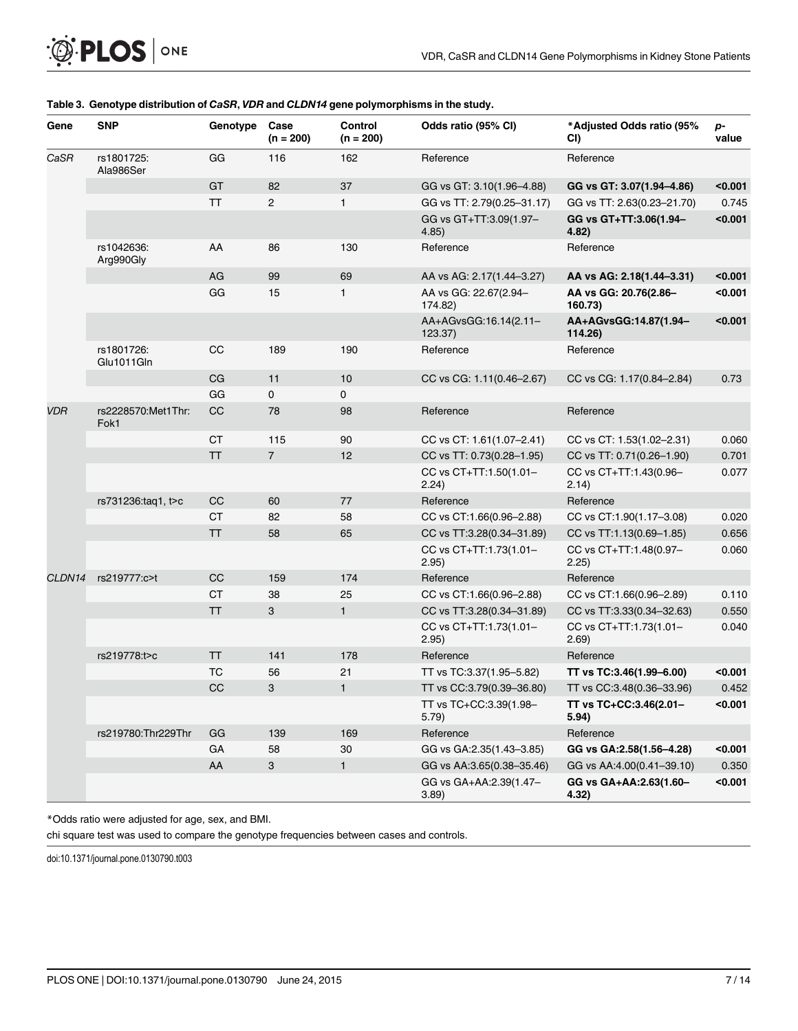| Gene       | <b>SNP</b>                 | Genotype  | Case<br>$(n = 200)$ | Control<br>$(n = 200)$ | Odds ratio (95% CI)              | *Adjusted Odds ratio (95%<br>CI) | p-<br>value |
|------------|----------------------------|-----------|---------------------|------------------------|----------------------------------|----------------------------------|-------------|
| CaSR       | rs1801725:<br>Ala986Ser    | GG        | 116                 | 162                    | Reference                        | Reference                        |             |
|            |                            | GT        | 82                  | 37                     | GG vs GT: 3.10(1.96-4.88)        | GG vs GT: 3.07(1.94-4.86)        | < 0.001     |
|            |                            | <b>TT</b> | $\overline{c}$      | 1                      | GG vs TT: 2.79(0.25-31.17)       | GG vs TT: 2.63(0.23-21.70)       | 0.745       |
|            |                            |           |                     |                        | GG vs GT+TT:3.09(1.97-<br>4.85)  | GG vs GT+TT:3.06(1.94-<br>4.82)  | $0.001$     |
|            | rs1042636:<br>Arg990Gly    | AA        | 86                  | 130                    | Reference                        | Reference                        |             |
|            |                            | AG        | 99                  | 69                     | AA vs AG: 2.17(1.44-3.27)        | AA vs AG: 2.18(1.44-3.31)        | < 0.001     |
|            |                            | GG        | 15                  | $\mathbf{1}$           | AA vs GG: 22.67(2.94-<br>174.82) | AA vs GG: 20.76(2.86-<br>160.73) | < 0.001     |
|            |                            |           |                     |                        | AA+AGvsGG:16.14(2.11-<br>123.37) | AA+AGvsGG:14.87(1.94-<br>114.26) | < 0.001     |
|            | rs1801726:<br>Glu1011Gln   | CC        | 189                 | 190                    | Reference                        | Reference                        |             |
|            |                            | CG        | 11                  | 10                     | CC vs CG: 1.11(0.46-2.67)        | CC vs CG: 1.17(0.84-2.84)        | 0.73        |
|            |                            | GG        | 0                   | 0                      |                                  |                                  |             |
| <b>VDR</b> | rs2228570:Met1Thr:<br>Fok1 | CC        | 78                  | 98                     | Reference                        | Reference                        |             |
|            |                            | <b>CT</b> | 115                 | 90                     | CC vs CT: 1.61(1.07-2.41)        | CC vs CT: 1.53(1.02-2.31)        | 0.060       |
|            |                            | <b>TT</b> | $\overline{7}$      | 12                     | CC vs TT: 0.73(0.28-1.95)        | CC vs TT: 0.71(0.26-1.90)        | 0.701       |
|            |                            |           |                     |                        | CC vs CT+TT:1.50(1.01-<br>2.24)  | CC vs CT+TT:1.43(0.96-<br>2.14)  | 0.077       |
|            | rs731236:taq1, t>c         | CC        | 60                  | 77                     | Reference                        | Reference                        |             |
|            |                            | <b>CT</b> | 82                  | 58                     | CC vs CT:1.66(0.96-2.88)         | CC vs CT:1.90(1.17-3.08)         | 0.020       |
|            |                            | <b>TT</b> | 58                  | 65                     | CC vs TT:3.28(0.34-31.89)        | CC vs TT:1.13(0.69-1.85)         | 0.656       |
|            |                            |           |                     |                        | CC vs CT+TT:1.73(1.01-<br>2.95)  | CC vs CT+TT:1.48(0.97-<br>2.25)  | 0.060       |
| CLDN14     | rs219777:c>t               | CC        | 159                 | 174                    | Reference                        | Reference                        |             |
|            |                            | <b>CT</b> | 38                  | 25                     | CC vs CT:1.66(0.96-2.88)         | CC vs CT:1.66(0.96-2.89)         | 0.110       |
|            |                            | <b>TT</b> | 3                   | $\mathbf{1}$           | CC vs TT:3.28(0.34-31.89)        | CC vs TT:3.33(0.34-32.63)        | 0.550       |
|            |                            |           |                     |                        | CC vs CT+TT:1.73(1.01-<br>2.95)  | CC vs CT+TT:1.73(1.01-<br>2.69)  | 0.040       |
|            | rs219778:t>c               | <b>TT</b> | 141                 | 178                    | Reference                        | Reference                        |             |
|            |                            | <b>TC</b> | 56                  | 21                     | TT vs TC:3.37(1.95-5.82)         | TT vs TC:3.46(1.99-6.00)         | < 0.001     |
|            |                            | CC        | 3                   | $\mathbf{1}$           | TT vs CC:3.79(0.39-36.80)        | TT vs CC:3.48(0.36-33.96)        | 0.452       |
|            |                            |           |                     |                        | TT vs TC+CC:3.39(1.98-<br>5.79)  | TT vs TC+CC:3.46(2.01-<br>5.94)  | < 0.001     |
|            | rs219780:Thr229Thr         | GG        | 139                 | 169                    | Reference                        | Reference                        |             |
|            |                            | GA        | 58                  | $30\,$                 | GG vs GA:2.35(1.43-3.85)         | GG vs GA:2.58(1.56-4.28)         | < 0.001     |
|            |                            | AA        | 3                   | 1                      | GG vs AA:3.65(0.38-35.46)        | GG vs AA:4.00(0.41-39.10)        | 0.350       |
|            |                            |           |                     |                        | GG vs GA+AA:2.39(1.47-<br>3.89)  | GG vs GA+AA:2.63(1.60-<br>4.32)  | < 0.001     |

#### <span id="page-6-0"></span>[Table 3.](#page-5-0) Genotype distribution of CaSR, VDR and CLDN14 gene polymorphisms in the study.

\*Odds ratio were adjusted for age, sex, and BMI.

chi square test was used to compare the genotype frequencies between cases and controls.

doi:10.1371/journal.pone.0130790.t003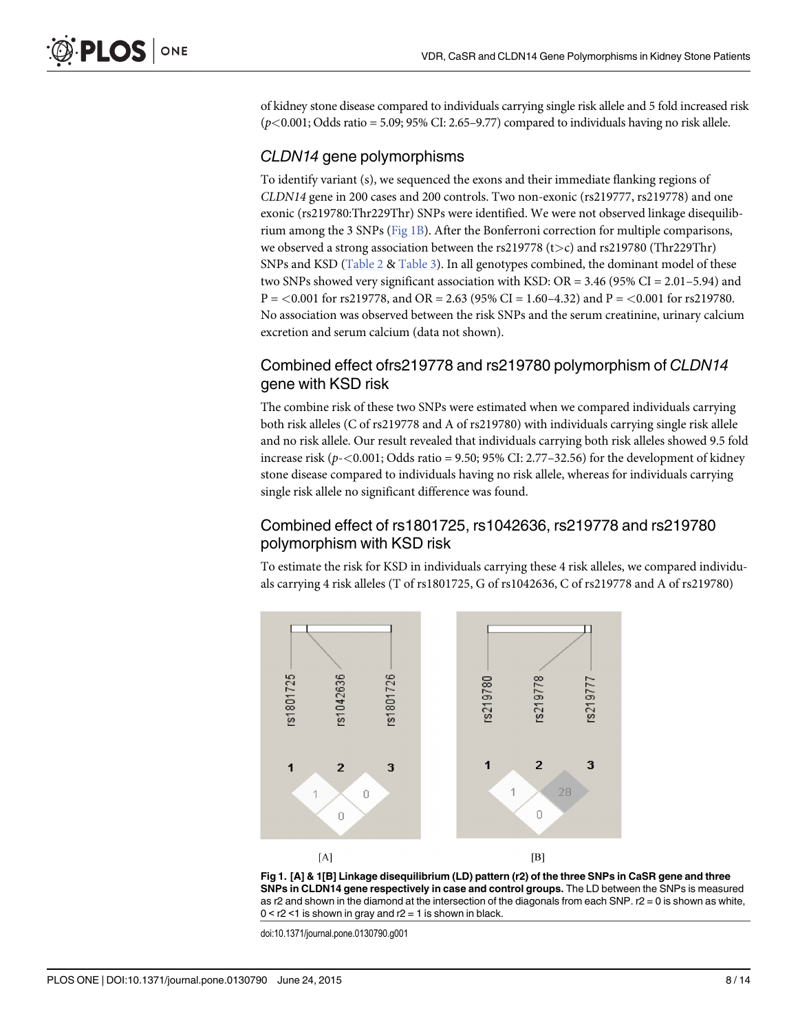<span id="page-7-0"></span>of kidney stone disease compared to individuals carrying single risk allele and 5 fold increased risk  $(p<0.001; \text{Odds ratio} = 5.09; 95\% \text{ CI: } 2.65-9.77) \text{ compared to individuals having no risk allele.}$ 

#### CLDN14 gene polymorphisms

To identify variant (s), we sequenced the exons and their immediate flanking regions of CLDN14 gene in 200 cases and 200 controls. Two non-exonic (rs219777, rs219778) and one exonic (rs219780:Thr229Thr) SNPs were identified. We were not observed linkage disequilibrium among the 3 SNPs (Fig 1B). After the Bonferroni correction for multiple comparisons, we observed a strong association between the rs219778 ( $t>c$ ) and rs219780 (Thr229Thr) SNPs and KSD [\(Table 2](#page-4-0) & [Table 3\)](#page-6-0). In all genotypes combined, the dominant model of these two SNPs showed very significant association with KSD:  $OR = 3.46$  (95% CI = 2.01–5.94) and  $P = 0.001$  for rs219778, and OR = 2.63 (95% CI = 1.60–4.32) and  $P = 0.001$  for rs219780. No association was observed between the risk SNPs and the serum creatinine, urinary calcium excretion and serum calcium (data not shown).

## Combined effect ofrs219778 and rs219780 polymorphism of CLDN14 gene with KSD risk

The combine risk of these two SNPs were estimated when we compared individuals carrying both risk alleles (C of rs219778 and A of rs219780) with individuals carrying single risk allele and no risk allele. Our result revealed that individuals carrying both risk alleles showed 9.5 fold increase risk  $(p<0.001; \text{Odds ratio} = 9.50; 95\% \text{ CI: } 2.77-32.56$  for the development of kidney stone disease compared to individuals having no risk allele, whereas for individuals carrying single risk allele no significant difference was found.

#### Combined effect of rs1801725, rs1042636, rs219778 and rs219780 polymorphism with KSD risk

To estimate the risk for KSD in individuals carrying these 4 risk alleles, we compared individuals carrying 4 risk alleles (T of rs1801725, G of rs1042636, C of rs219778 and A of rs219780)





doi:10.1371/journal.pone.0130790.g001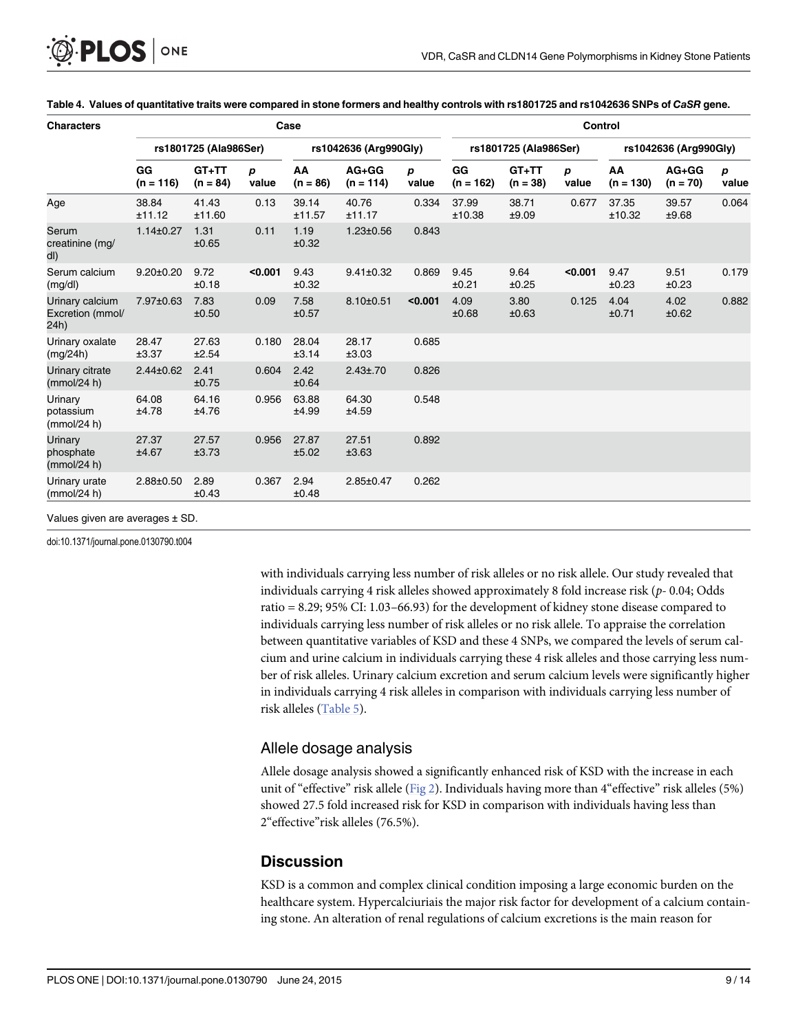<span id="page-8-0"></span>

| <b>Characters</b>                           | Case                  |                       |            |                       |                        |                       | <b>Control</b>    |                       |                       |                   |                       |            |
|---------------------------------------------|-----------------------|-----------------------|------------|-----------------------|------------------------|-----------------------|-------------------|-----------------------|-----------------------|-------------------|-----------------------|------------|
|                                             | rs1801725 (Ala986Ser) |                       |            | rs1042636 (Arg990Gly) |                        | rs1801725 (Ala986Ser) |                   |                       | rs1042636 (Arg990Gly) |                   |                       |            |
|                                             | GG<br>$(n = 116)$     | $GT+TT$<br>$(n = 84)$ | р<br>value | AA<br>$(n = 86)$      | $AG+GG$<br>$(n = 114)$ | p<br>value            | GG<br>$(n = 162)$ | $GT+TT$<br>$(n = 38)$ | р<br>value            | AA<br>$(n = 130)$ | $AG+GG$<br>$(n = 70)$ | р<br>value |
| Age                                         | 38.84<br>±11.12       | 41.43<br>±11.60       | 0.13       | 39.14<br>±11.57       | 40.76<br>±11.17        | 0.334                 | 37.99<br>±10.38   | 38.71<br>±9.09        | 0.677                 | 37.35<br>±10.32   | 39.57<br>±9.68        | 0.064      |
| Serum<br>creatinine (mg/<br>dl)             | $1.14 \pm 0.27$       | 1.31<br>±0.65         | 0.11       | 1.19<br>±0.32         | $1.23 \pm 0.56$        | 0.843                 |                   |                       |                       |                   |                       |            |
| Serum calcium<br>(mg/dl)                    | $9.20 \pm 0.20$       | 9.72<br>±0.18         | < 0.001    | 9.43<br>±0.32         | $9.41 \pm 0.32$        | 0.869                 | 9.45<br>±0.21     | 9.64<br>±0.25         | < 0.001               | 9.47<br>±0.23     | 9.51<br>±0.23         | 0.179      |
| Urinary calcium<br>Excretion (mmol/<br>24h) | 7.97±0.63             | 7.83<br>±0.50         | 0.09       | 7.58<br>±0.57         | $8.10 \pm 0.51$        | < 0.001               | 4.09<br>±0.68     | 3.80<br>±0.63         | 0.125                 | 4.04<br>±0.71     | 4.02<br>±0.62         | 0.882      |
| Urinary oxalate<br>(mg/24h)                 | 28.47<br>±3.37        | 27.63<br>±2.54        | 0.180      | 28.04<br>±3.14        | 28.17<br>±3.03         | 0.685                 |                   |                       |                       |                   |                       |            |
| Urinary citrate<br>(mmol/24 h)              | $2.44 \pm 0.62$       | 2.41<br>±0.75         | 0.604      | 2.42<br>±0.64         | $2.43 \pm 0.70$        | 0.826                 |                   |                       |                       |                   |                       |            |
| Urinary<br>potassium<br>(mmol/24 h)         | 64.08<br>±4.78        | 64.16<br>±4.76        | 0.956      | 63.88<br>±4.99        | 64.30<br>±4.59         | 0.548                 |                   |                       |                       |                   |                       |            |
| Urinary<br>phosphate<br>(mmol/24 h)         | 27.37<br>±4.67        | 27.57<br>±3.73        | 0.956      | 27.87<br>±5.02        | 27.51<br>±3.63         | 0.892                 |                   |                       |                       |                   |                       |            |
| Urinary urate<br>(mmol/24 h)                | $2.88 \pm 0.50$       | 2.89<br>±0.43         | 0.367      | 2.94<br>±0.48         | $2.85 \pm 0.47$        | 0.262                 |                   |                       |                       |                   |                       |            |

#### [Table 4.](#page-5-0) Values of quantitative traits were compared in stone formers and healthy controls with rs1801725 and rs1042636 SNPs of CaSR gene.

doi:10.1371/journal.pone.0130790.t004

with individuals carrying less number of risk alleles or no risk allele. Our study revealed that individuals carrying 4 risk alleles showed approximately 8 fold increase risk ( $p-0.04$ ; Odds ratio = 8.29; 95% CI: 1.03–66.93) for the development of kidney stone disease compared to individuals carrying less number of risk alleles or no risk allele. To appraise the correlation between quantitative variables of KSD and these 4 SNPs, we compared the levels of serum calcium and urine calcium in individuals carrying these 4 risk alleles and those carrying less number of risk alleles. Urinary calcium excretion and serum calcium levels were significantly higher in individuals carrying 4 risk alleles in comparison with individuals carrying less number of risk alleles ([Table 5\)](#page-9-0).

#### Allele dosage analysis

Allele dosage analysis showed a significantly enhanced risk of KSD with the increase in each unit of "effective" risk allele [\(Fig 2\)](#page-9-0). Individuals having more than 4"effective" risk alleles (5%) showed 27.5 fold increased risk for KSD in comparison with individuals having less than 2"effective"risk alleles (76.5%).

## **Discussion**

KSD is a common and complex clinical condition imposing a large economic burden on the healthcare system. Hypercalciuriais the major risk factor for development of a calcium containing stone. An alteration of renal regulations of calcium excretions is the main reason for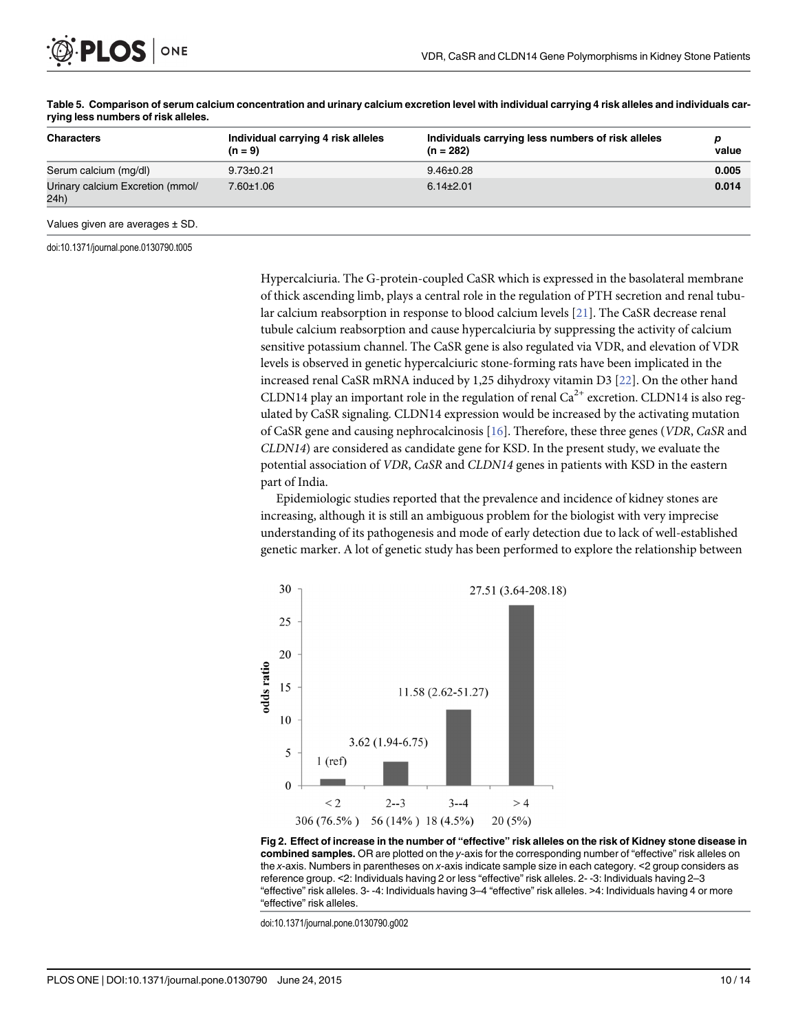<span id="page-9-0"></span>

| <b>Characters</b>                        | Individual carrying 4 risk alleles<br>$(n = 9)$ | Individuals carrying less numbers of risk alleles<br>$(n = 282)$ | value |
|------------------------------------------|-------------------------------------------------|------------------------------------------------------------------|-------|
| Serum calcium (mg/dl)                    | $9.73 \pm 0.21$                                 | $9.46 \pm 0.28$                                                  | 0.005 |
| Urinary calcium Excretion (mmol/<br>24h) | 7.60±1.06                                       | $6.14\pm2.01$                                                    | 0.014 |

[Table 5.](#page-8-0) Comparison of serum calcium concentration and urinary calcium excretion level with individual carrying 4 risk alleles and individuals carrying less numbers of risk alleles.

Values given are averages ± SD.

doi:10.1371/journal.pone.0130790.t005

Hypercalciuria. The G-protein-coupled CaSR which is expressed in the basolateral membrane of thick ascending limb, plays a central role in the regulation of PTH secretion and renal tubular calcium reabsorption in response to blood calcium levels [\[21\]](#page-12-0). The CaSR decrease renal tubule calcium reabsorption and cause hypercalciuria by suppressing the activity of calcium sensitive potassium channel. The CaSR gene is also regulated via VDR, and elevation of VDR levels is observed in genetic hypercalciuric stone-forming rats have been implicated in the increased renal CaSR mRNA induced by 1,25 dihydroxy vitamin D3 [\[22\]](#page-12-0). On the other hand CLDN14 play an important role in the regulation of renal  $Ca^{2+}$  excretion. CLDN14 is also regulated by CaSR signaling. CLDN14 expression would be increased by the activating mutation of CaSR gene and causing nephrocalcinosis [[16](#page-12-0)]. Therefore, these three genes (VDR, CaSR and CLDN14) are considered as candidate gene for KSD. In the present study, we evaluate the potential association of VDR, CaSR and CLDN14 genes in patients with KSD in the eastern part of India.

Epidemiologic studies reported that the prevalence and incidence of kidney stones are increasing, although it is still an ambiguous problem for the biologist with very imprecise understanding of its pathogenesis and mode of early detection due to lack of well-established genetic marker. A lot of genetic study has been performed to explore the relationship between



[Fig 2. E](#page-8-0)ffect of increase in the number of "effective" risk alleles on the risk of Kidney stone disease in combined samples. OR are plotted on the y-axis for the corresponding number of "effective" risk alleles on the x-axis. Numbers in parentheses on x-axis indicate sample size in each category. <2 group considers as reference group. <2: Individuals having 2 or less "effective" risk alleles. 2- -3: Individuals having 2–3 "effective" risk alleles. 3- -4: Individuals having 3–4 "effective" risk alleles. >4: Individuals having 4 or more "effective" risk alleles.

doi:10.1371/journal.pone.0130790.g002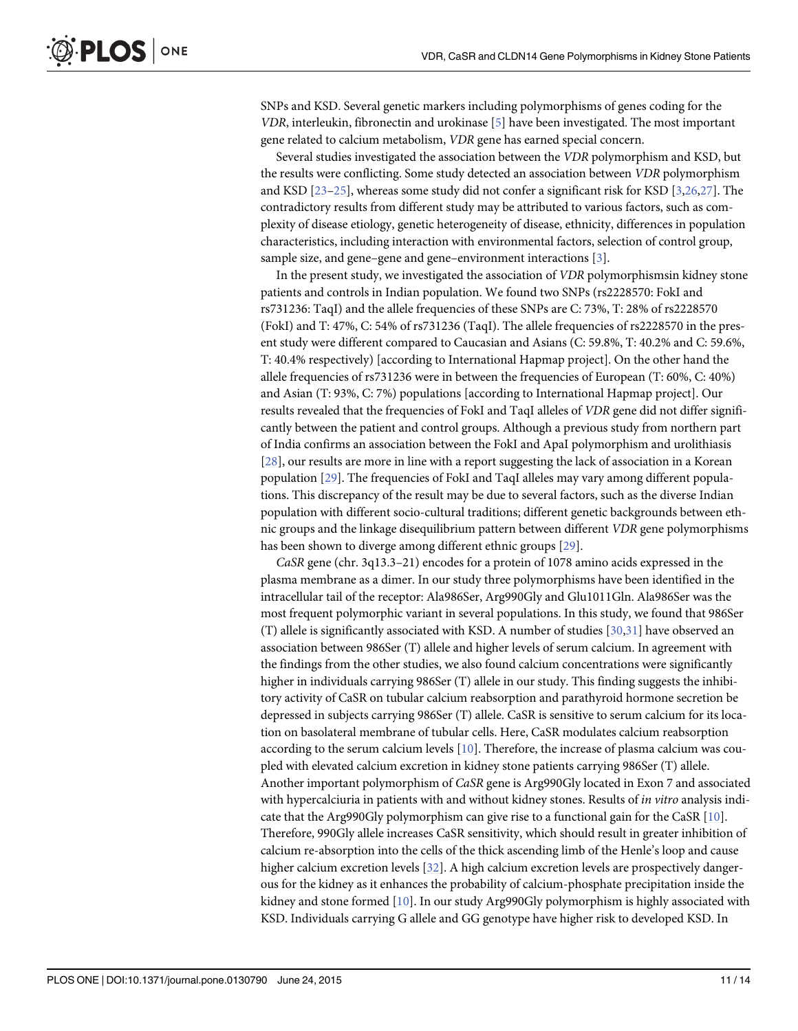<span id="page-10-0"></span>SNPs and KSD. Several genetic markers including polymorphisms of genes coding for the VDR, interleukin, fibronectin and urokinase [\[5\]](#page-12-0) have been investigated. The most important gene related to calcium metabolism, VDR gene has earned special concern.

Several studies investigated the association between the VDR polymorphism and KSD, but the results were conflicting. Some study detected an association between VDR polymorphism and KSD [[23](#page-12-0)–[25\]](#page-13-0), whereas some study did not confer a significant risk for KSD [[3](#page-12-0),[26,27](#page-13-0)]. The contradictory results from different study may be attributed to various factors, such as complexity of disease etiology, genetic heterogeneity of disease, ethnicity, differences in population characteristics, including interaction with environmental factors, selection of control group, sample size, and gene–gene and gene–environment interactions [[3\]](#page-12-0).

In the present study, we investigated the association of VDR polymorphismsin kidney stone patients and controls in Indian population. We found two SNPs (rs2228570: FokI and rs731236: TaqI) and the allele frequencies of these SNPs are C: 73%, T: 28% of rs2228570 (FokI) and T: 47%, C: 54% of rs731236 (TaqI). The allele frequencies of rs2228570 in the present study were different compared to Caucasian and Asians (C: 59.8%, T: 40.2% and C: 59.6%, T: 40.4% respectively) [according to International Hapmap project]. On the other hand the allele frequencies of rs731236 were in between the frequencies of European (T: 60%, C: 40%) and Asian (T: 93%, C: 7%) populations [according to International Hapmap project]. Our results revealed that the frequencies of FokI and TaqI alleles of VDR gene did not differ significantly between the patient and control groups. Although a previous study from northern part of India confirms an association between the FokI and ApaI polymorphism and urolithiasis [\[28](#page-13-0)], our results are more in line with a report suggesting the lack of association in a Korean population [\[29\]](#page-13-0). The frequencies of FokI and TaqI alleles may vary among different populations. This discrepancy of the result may be due to several factors, such as the diverse Indian population with different socio-cultural traditions; different genetic backgrounds between ethnic groups and the linkage disequilibrium pattern between different VDR gene polymorphisms has been shown to diverge among different ethnic groups [\[29\]](#page-13-0).

CaSR gene (chr. 3q13.3–21) encodes for a protein of 1078 amino acids expressed in the plasma membrane as a dimer. In our study three polymorphisms have been identified in the intracellular tail of the receptor: Ala986Ser, Arg990Gly and Glu1011Gln. Ala986Ser was the most frequent polymorphic variant in several populations. In this study, we found that 986Ser (T) allele is significantly associated with KSD. A number of studies [\[30,31\]](#page-13-0) have observed an association between 986Ser (T) allele and higher levels of serum calcium. In agreement with the findings from the other studies, we also found calcium concentrations were significantly higher in individuals carrying 986Ser (T) allele in our study. This finding suggests the inhibitory activity of CaSR on tubular calcium reabsorption and parathyroid hormone secretion be depressed in subjects carrying 986Ser (T) allele. CaSR is sensitive to serum calcium for its location on basolateral membrane of tubular cells. Here, CaSR modulates calcium reabsorption according to the serum calcium levels  $[10]$  $[10]$ . Therefore, the increase of plasma calcium was coupled with elevated calcium excretion in kidney stone patients carrying 986Ser (T) allele. Another important polymorphism of CaSR gene is Arg990Gly located in Exon 7 and associated with hypercalciuria in patients with and without kidney stones. Results of *in vitro* analysis indicate that the Arg990Gly polymorphism can give rise to a functional gain for the CaSR  $[10]$ . Therefore, 990Gly allele increases CaSR sensitivity, which should result in greater inhibition of calcium re-absorption into the cells of the thick ascending limb of the Henle's loop and cause higher calcium excretion levels [[32](#page-13-0)]. A high calcium excretion levels are prospectively dangerous for the kidney as it enhances the probability of calcium-phosphate precipitation inside the kidney and stone formed [\[10](#page-12-0)]. In our study Arg990Gly polymorphism is highly associated with KSD. Individuals carrying G allele and GG genotype have higher risk to developed KSD. In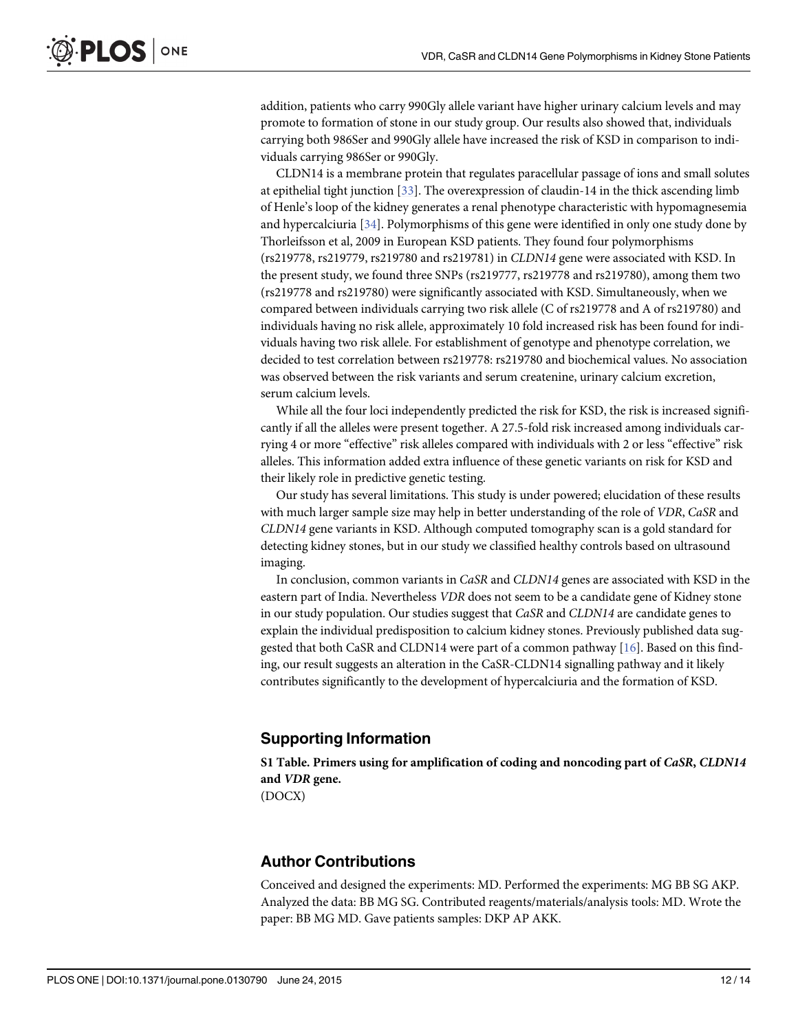<span id="page-11-0"></span>addition, patients who carry 990Gly allele variant have higher urinary calcium levels and may promote to formation of stone in our study group. Our results also showed that, individuals carrying both 986Ser and 990Gly allele have increased the risk of KSD in comparison to individuals carrying 986Ser or 990Gly.

CLDN14 is a membrane protein that regulates paracellular passage of ions and small solutes at epithelial tight junction  $[33]$ . The overexpression of claudin-14 in the thick ascending limb of Henle's loop of the kidney generates a renal phenotype characteristic with hypomagnesemia and hypercalciuria [\[34](#page-13-0)]. Polymorphisms of this gene were identified in only one study done by Thorleifsson et al, 2009 in European KSD patients. They found four polymorphisms (rs219778, rs219779, rs219780 and rs219781) in CLDN14 gene were associated with KSD. In the present study, we found three SNPs (rs219777, rs219778 and rs219780), among them two (rs219778 and rs219780) were significantly associated with KSD. Simultaneously, when we compared between individuals carrying two risk allele (C of rs219778 and A of rs219780) and individuals having no risk allele, approximately 10 fold increased risk has been found for individuals having two risk allele. For establishment of genotype and phenotype correlation, we decided to test correlation between rs219778: rs219780 and biochemical values. No association was observed between the risk variants and serum createnine, urinary calcium excretion, serum calcium levels.

While all the four loci independently predicted the risk for KSD, the risk is increased significantly if all the alleles were present together. A 27.5-fold risk increased among individuals carrying 4 or more "effective" risk alleles compared with individuals with 2 or less "effective" risk alleles. This information added extra influence of these genetic variants on risk for KSD and their likely role in predictive genetic testing.

Our study has several limitations. This study is under powered; elucidation of these results with much larger sample size may help in better understanding of the role of VDR, CaSR and CLDN14 gene variants in KSD. Although computed tomography scan is a gold standard for detecting kidney stones, but in our study we classified healthy controls based on ultrasound imaging.

In conclusion, common variants in CaSR and CLDN14 genes are associated with KSD in the eastern part of India. Nevertheless VDR does not seem to be a candidate gene of Kidney stone in our study population. Our studies suggest that CaSR and CLDN14 are candidate genes to explain the individual predisposition to calcium kidney stones. Previously published data suggested that both CaSR and CLDN14 were part of a common pathway [[16](#page-12-0)]. Based on this finding, our result suggests an alteration in the CaSR-CLDN14 signalling pathway and it likely contributes significantly to the development of hypercalciuria and the formation of KSD.

#### Supporting Information

[S1 Table](http://www.plosone.org/article/fetchSingleRepresentation.action?uri=info:doi/10.1371/journal.pone.0130790.s001). Primers using for amplification of coding and noncoding part of CaSR, CLDN14 and VDR gene.

(DOCX)

#### Author Contributions

Conceived and designed the experiments: MD. Performed the experiments: MG BB SG AKP. Analyzed the data: BB MG SG. Contributed reagents/materials/analysis tools: MD. Wrote the paper: BB MG MD. Gave patients samples: DKP AP AKK.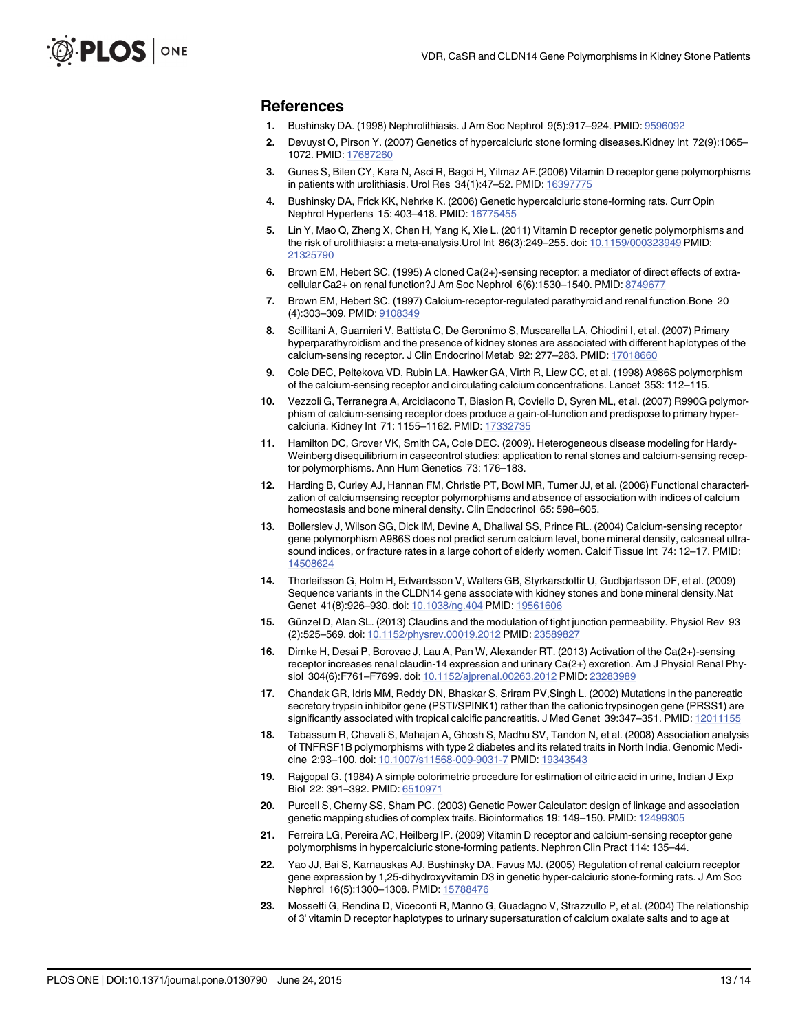#### <span id="page-12-0"></span>References

- [1.](#page-0-0) Bushinsky DA. (1998) Nephrolithiasis. J Am Soc Nephrol 9(5):917–924. PMID: [9596092](http://www.ncbi.nlm.nih.gov/pubmed/9596092)
- [2.](#page-1-0) Devuyst O, Pirson Y. (2007) Genetics of hypercalciuric stone forming diseases.Kidney Int 72(9):1065– 1072. PMID: [17687260](http://www.ncbi.nlm.nih.gov/pubmed/17687260)
- [3.](#page-1-0) Gunes S, Bilen CY, Kara N, Asci R, Bagci H, Yilmaz AF.(2006) Vitamin D receptor gene polymorphisms in patients with urolithiasis. Urol Res 34(1):47-52. PMID: [16397775](http://www.ncbi.nlm.nih.gov/pubmed/16397775)
- [4.](#page-1-0) Bushinsky DA, Frick KK, Nehrke K. (2006) Genetic hypercalciuric stone-forming rats. Curr Opin Nephrol Hypertens 15: 403–418. PMID: [16775455](http://www.ncbi.nlm.nih.gov/pubmed/16775455)
- [5.](#page-1-0) Lin Y, Mao Q, Zheng X, Chen H, Yang K, Xie L. (2011) Vitamin D receptor genetic polymorphisms and the risk of urolithiasis: a meta-analysis.Urol Int 86(3):249–255. doi: [10.1159/000323949](http://dx.doi.org/10.1159/000323949) PMID: [21325790](http://www.ncbi.nlm.nih.gov/pubmed/21325790)
- [6.](#page-1-0) Brown EM, Hebert SC. (1995) A cloned Ca(2+)-sensing receptor: a mediator of direct effects of extra-cellular Ca2+ on renal function?J Am Soc Nephrol 6(6):1530-1540. PMID: [8749677](http://www.ncbi.nlm.nih.gov/pubmed/8749677)
- [7.](#page-1-0) Brown EM, Hebert SC. (1997) Calcium-receptor-regulated parathyroid and renal function.Bone 20 (4):303–309. PMID: [9108349](http://www.ncbi.nlm.nih.gov/pubmed/9108349)
- [8.](#page-1-0) Scillitani A, Guarnieri V, Battista C, De Geronimo S, Muscarella LA, Chiodini I, et al. (2007) Primary hyperparathyroidism and the presence of kidney stones are associated with different haplotypes of the calcium-sensing receptor. J Clin Endocrinol Metab 92: 277-283. PMID: [17018660](http://www.ncbi.nlm.nih.gov/pubmed/17018660)
- [9.](#page-1-0) Cole DEC, Peltekova VD, Rubin LA, Hawker GA, Virth R, Liew CC, et al. (1998) A986S polymorphism of the calcium-sensing receptor and circulating calcium concentrations. Lancet 353: 112–115.
- [10.](#page-1-0) Vezzoli G, Terranegra A, Arcidiacono T, Biasion R, Coviello D, Syren ML, et al. (2007) R990G polymorphism of calcium-sensing receptor does produce a gain-of-function and predispose to primary hypercalciuria. Kidney Int 71: 1155–1162. PMID: [17332735](http://www.ncbi.nlm.nih.gov/pubmed/17332735)
- [11.](#page-1-0) Hamilton DC, Grover VK, Smith CA, Cole DEC. (2009). Heterogeneous disease modeling for Hardy-Weinberg disequilibrium in casecontrol studies: application to renal stones and calcium-sensing receptor polymorphisms. Ann Hum Genetics 73: 176–183.
- [12.](#page-1-0) Harding B, Curley AJ, Hannan FM, Christie PT, Bowl MR, Turner JJ, et al. (2006) Functional characterization of calciumsensing receptor polymorphisms and absence of association with indices of calcium homeostasis and bone mineral density. Clin Endocrinol 65: 598–605.
- [13.](#page-1-0) Bollerslev J, Wilson SG, Dick IM, Devine A, Dhaliwal SS, Prince RL. (2004) Calcium-sensing receptor gene polymorphism A986S does not predict serum calcium level, bone mineral density, calcaneal ultrasound indices, or fracture rates in a large cohort of elderly women. Calcif Tissue Int 74: 12–17. PMID: [14508624](http://www.ncbi.nlm.nih.gov/pubmed/14508624)
- [14.](#page-1-0) Thorleifsson G, Holm H, Edvardsson V, Walters GB, Styrkarsdottir U, Gudbjartsson DF, et al. (2009) Sequence variants in the CLDN14 gene associate with kidney stones and bone mineral density.Nat Genet 41(8):926–930. doi: [10.1038/ng.404](http://dx.doi.org/10.1038/ng.404) PMID: [19561606](http://www.ncbi.nlm.nih.gov/pubmed/19561606)
- [15.](#page-1-0) Günzel D, Alan SL. (2013) Claudins and the modulation of tight junction permeability. Physiol Rev 93 (2):525–569. doi: [10.1152/physrev.00019.2012](http://dx.doi.org/10.1152/physrev.00019.2012) PMID: [23589827](http://www.ncbi.nlm.nih.gov/pubmed/23589827)
- [16.](#page-1-0) Dimke H, Desai P, Borovac J, Lau A, Pan W, Alexander RT. (2013) Activation of the Ca(2+)-sensing receptor increases renal claudin-14 expression and urinary Ca(2+) excretion. Am J Physiol Renal Physiol 304(6):F761–F7699. doi: [10.1152/ajprenal.00263.2012](http://dx.doi.org/10.1152/ajprenal.00263.2012) PMID: [23283989](http://www.ncbi.nlm.nih.gov/pubmed/23283989)
- [17.](#page-1-0) Chandak GR, Idris MM, Reddy DN, Bhaskar S, Sriram PV,Singh L. (2002) Mutations in the pancreatic secretory trypsin inhibitor gene (PSTI/SPINK1) rather than the cationic trypsinogen gene (PRSS1) are significantly associated with tropical calcific pancreatitis. J Med Genet 39:347–351. PMID: [12011155](http://www.ncbi.nlm.nih.gov/pubmed/12011155)
- [18.](#page-1-0) Tabassum R, Chavali S, Mahajan A, Ghosh S, Madhu SV, Tandon N, et al. (2008) Association analysis of TNFRSF1B polymorphisms with type 2 diabetes and its related traits in North India. Genomic Medicine 2:93–100. doi: [10.1007/s11568-009-9031-7](http://dx.doi.org/10.1007/s11568-009-9031-7) PMID: [19343543](http://www.ncbi.nlm.nih.gov/pubmed/19343543)
- [19.](#page-2-0) Rajgopal G. (1984) A simple colorimetric procedure for estimation of citric acid in urine, Indian J Exp Biol 22: 391–392. PMID: [6510971](http://www.ncbi.nlm.nih.gov/pubmed/6510971)
- [20.](#page-3-0) Purcell S, Cherny SS, Sham PC. (2003) Genetic Power Calculator: design of linkage and association genetic mapping studies of complex traits. Bioinformatics 19: 149–150. PMID: [12499305](http://www.ncbi.nlm.nih.gov/pubmed/12499305)
- [21.](#page-9-0) Ferreira LG, Pereira AC, Heilberg IP. (2009) Vitamin D receptor and calcium-sensing receptor gene polymorphisms in hypercalciuric stone-forming patients. Nephron Clin Pract 114: 135–44.
- [22.](#page-9-0) Yao JJ, Bai S, Karnauskas AJ, Bushinsky DA, Favus MJ. (2005) Regulation of renal calcium receptor gene expression by 1,25-dihydroxyvitamin D3 in genetic hyper-calciuric stone-forming rats. J Am Soc Nephrol 16(5):1300–1308. PMID: [15788476](http://www.ncbi.nlm.nih.gov/pubmed/15788476)
- [23.](#page-10-0) Mossetti G, Rendina D, Viceconti R, Manno G, Guadagno V, Strazzullo P, et al. (2004) The relationship of 3' vitamin D receptor haplotypes to urinary supersaturation of calcium oxalate salts and to age at